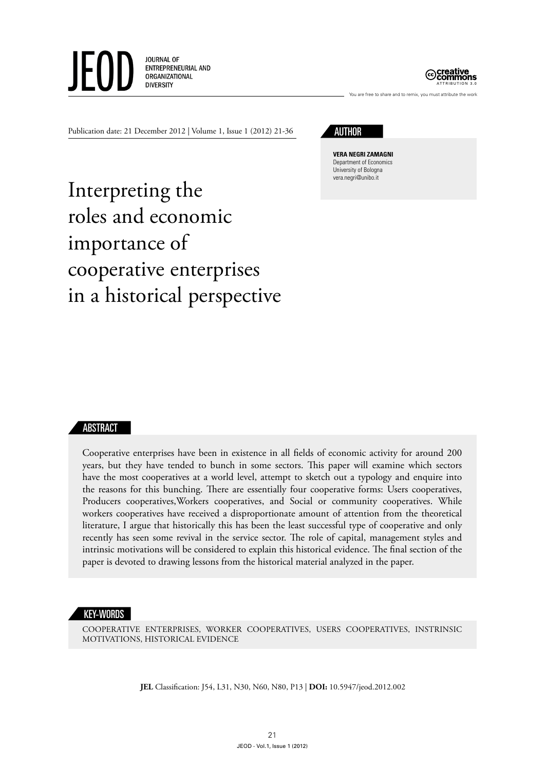



You are free to share and to remix, you must attribute the wor

Publication date: 21 December 2012 | Volume 1, Issue 1 (2012) 21-36



**Vera negri Zamagni** Department of Economics University of Bologna vera.negri@unibo.it

Interpreting the roles and economic importance of cooperative enterprises in a historical perspective

### ABSTRACT

Cooperative enterprises have been in existence in all fields of economic activity for around 200 years, but they have tended to bunch in some sectors. This paper will examine which sectors have the most cooperatives at a world level, attempt to sketch out a typology and enquire into the reasons for this bunching. There are essentially four cooperative forms: Users cooperatives, Producers cooperatives,Workers cooperatives, and Social or community cooperatives. While workers cooperatives have received a disproportionate amount of attention from the theoretical literature, I argue that historically this has been the least successful type of cooperative and only recently has seen some revival in the service sector. The role of capital, management styles and intrinsic motivations will be considered to explain this historical evidence. The final section of the paper is devoted to drawing lessons from the historical material analyzed in the paper.

### KEY-WORDS

cooperative enterprises, worker cooperatives, users cooperatives, instrinsic motivations, historical evidence

**JEL** Classification: J54, L31, N30, N60, N80, P13 | **DOI:** 10.5947/jeod.2012.002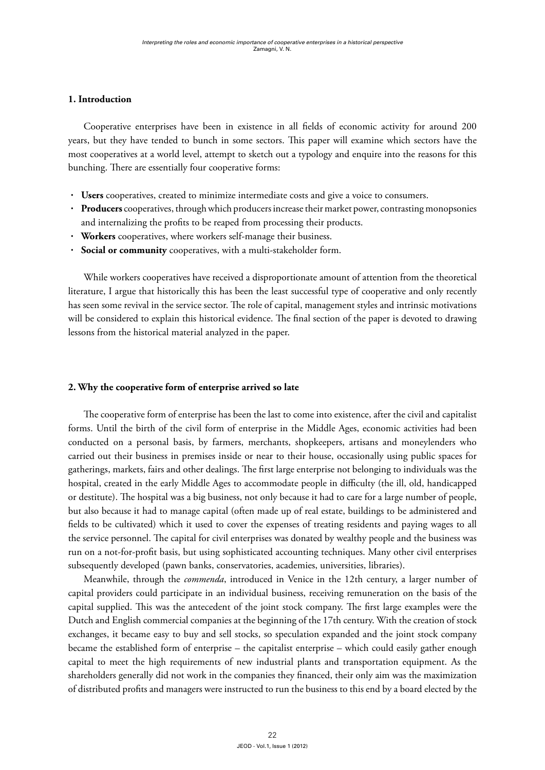# **1. Introduction**

Cooperative enterprises have been in existence in all fields of economic activity for around 200 years, but they have tended to bunch in some sectors. This paper will examine which sectors have the most cooperatives at a world level, attempt to sketch out a typology and enquire into the reasons for this bunching. There are essentially four cooperative forms:

- **· Users** cooperatives, created to minimize intermediate costs and give a voice to consumers.
- **· Producers** cooperatives, through which producers increase their market power, contrasting monopsonies and internalizing the profits to be reaped from processing their products.
- **· Workers** cooperatives, where workers self-manage their business.
- **· Social or community** cooperatives, with a multi-stakeholder form.

While workers cooperatives have received a disproportionate amount of attention from the theoretical literature, I argue that historically this has been the least successful type of cooperative and only recently has seen some revival in the service sector. The role of capital, management styles and intrinsic motivations will be considered to explain this historical evidence. The final section of the paper is devoted to drawing lessons from the historical material analyzed in the paper.

## **2. Why the cooperative form of enterprise arrived so late**

The cooperative form of enterprise has been the last to come into existence, after the civil and capitalist forms. Until the birth of the civil form of enterprise in the Middle Ages, economic activities had been conducted on a personal basis, by farmers, merchants, shopkeepers, artisans and moneylenders who carried out their business in premises inside or near to their house, occasionally using public spaces for gatherings, markets, fairs and other dealings. The first large enterprise not belonging to individuals was the hospital, created in the early Middle Ages to accommodate people in difficulty (the ill, old, handicapped or destitute). The hospital was a big business, not only because it had to care for a large number of people, but also because it had to manage capital (often made up of real estate, buildings to be administered and fields to be cultivated) which it used to cover the expenses of treating residents and paying wages to all the service personnel. The capital for civil enterprises was donated by wealthy people and the business was run on a not-for-profit basis, but using sophisticated accounting techniques. Many other civil enterprises subsequently developed (pawn banks, conservatories, academies, universities, libraries).

Meanwhile, through the *commenda*, introduced in Venice in the 12th century, a larger number of capital providers could participate in an individual business, receiving remuneration on the basis of the capital supplied. This was the antecedent of the joint stock company. The first large examples were the Dutch and English commercial companies at the beginning of the 17th century. With the creation of stock exchanges, it became easy to buy and sell stocks, so speculation expanded and the joint stock company became the established form of enterprise – the capitalist enterprise – which could easily gather enough capital to meet the high requirements of new industrial plants and transportation equipment. As the shareholders generally did not work in the companies they financed, their only aim was the maximization of distributed profits and managers were instructed to run the business to this end by a board elected by the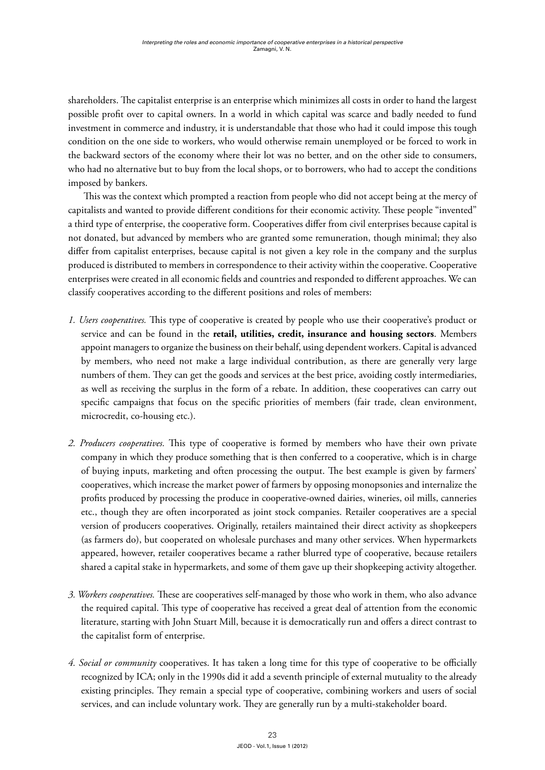shareholders. The capitalist enterprise is an enterprise which minimizes all costs in order to hand the largest possible profit over to capital owners. In a world in which capital was scarce and badly needed to fund investment in commerce and industry, it is understandable that those who had it could impose this tough condition on the one side to workers, who would otherwise remain unemployed or be forced to work in the backward sectors of the economy where their lot was no better, and on the other side to consumers, who had no alternative but to buy from the local shops, or to borrowers, who had to accept the conditions imposed by bankers.

This was the context which prompted a reaction from people who did not accept being at the mercy of capitalists and wanted to provide different conditions for their economic activity. These people "invented" a third type of enterprise, the cooperative form. Cooperatives differ from civil enterprises because capital is not donated, but advanced by members who are granted some remuneration, though minimal; they also differ from capitalist enterprises, because capital is not given a key role in the company and the surplus produced is distributed to members in correspondence to their activity within the cooperative. Cooperative enterprises were created in all economic fields and countries and responded to different approaches. We can classify cooperatives according to the different positions and roles of members:

- *1. Users cooperatives.* This type of cooperative is created by people who use their cooperative's product or service and can be found in the **retail, utilities, credit, insurance and housing sectors**. Members appoint managers to organize the business on their behalf, using dependent workers. Capital is advanced by members, who need not make a large individual contribution, as there are generally very large numbers of them. They can get the goods and services at the best price, avoiding costly intermediaries, as well as receiving the surplus in the form of a rebate. In addition, these cooperatives can carry out specific campaigns that focus on the specific priorities of members (fair trade, clean environment, microcredit, co-housing etc.).
- *2. Producers cooperatives.* This type of cooperative is formed by members who have their own private company in which they produce something that is then conferred to a cooperative, which is in charge of buying inputs, marketing and often processing the output. The best example is given by farmers' cooperatives, which increase the market power of farmers by opposing monopsonies and internalize the profits produced by processing the produce in cooperative-owned dairies, wineries, oil mills, canneries etc., though they are often incorporated as joint stock companies. Retailer cooperatives are a special version of producers cooperatives. Originally, retailers maintained their direct activity as shopkeepers (as farmers do), but cooperated on wholesale purchases and many other services. When hypermarkets appeared, however, retailer cooperatives became a rather blurred type of cooperative, because retailers shared a capital stake in hypermarkets, and some of them gave up their shopkeeping activity altogether.
- *3. Workers cooperatives.* These are cooperatives self-managed by those who work in them, who also advance the required capital. This type of cooperative has received a great deal of attention from the economic literature, starting with John Stuart Mill, because it is democratically run and offers a direct contrast to the capitalist form of enterprise.
- *4. Social or community* cooperatives. It has taken a long time for this type of cooperative to be officially recognized by ICA; only in the 1990s did it add a seventh principle of external mutuality to the already existing principles. They remain a special type of cooperative, combining workers and users of social services, and can include voluntary work. They are generally run by a multi-stakeholder board.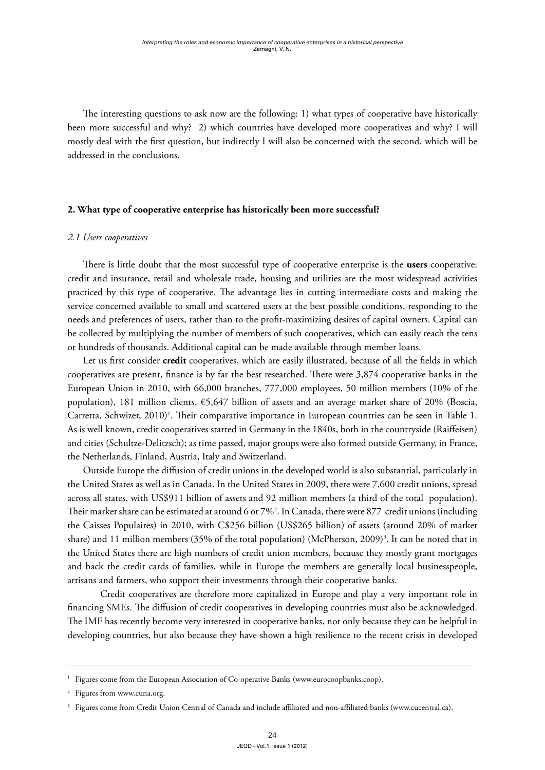The interesting questions to ask now are the following: 1) what types of cooperative have historically been more successful and why? 2) which countries have developed more cooperatives and why? I will mostly deal with the first question, but indirectly I will also be concerned with the second, which will be addressed in the conclusions.

### **2. What type of cooperative enterprise has historically been more successful?**

#### *2.1 Users cooperatives*

There is little doubt that the most successful type of cooperative enterprise is the **users** cooperative: credit and insurance, retail and wholesale trade, housing and utilities are the most widespread activities practiced by this type of cooperative. The advantage lies in cutting intermediate costs and making the service concerned available to small and scattered users at the best possible conditions, responding to the needs and preferences of users, rather than to the profit-maximizing desires of capital owners. Capital can be collected by multiplying the number of members of such cooperatives, which can easily reach the tens or hundreds of thousands. Additional capital can be made available through member loans.

Let us first consider **credit** cooperatives, which are easily illustrated, because of all the fields in which cooperatives are present, finance is by far the best researched. There were 3,874 cooperative banks in the European Union in 2010, with 66,000 branches, 777,000 employees, 50 million members (10% of the population), 181 million clients, €5,647 billion of assets and an average market share of 20% (Boscia, Carretta, Schwizer, 2010)<sup>1</sup>. Their comparative importance in European countries can be seen in Table 1. As is well known, credit cooperatives started in Germany in the 1840s, both in the countryside (Raiffeisen) and cities (Schultze-Delitzsch); as time passed, major groups were also formed outside Germany, in France, the Netherlands, Finland, Austria, Italy and Switzerland.

Outside Europe the diffusion of credit unions in the developed world is also substantial, particularly in the United States as well as in Canada. In the United States in 2009, there were 7,600 credit unions, spread across all states, with US\$911 billion of assets and 92 million members (a third of the total population). Their market share can be estimated at around 6 or 7%2 . In Canada, there were 877 credit unions (including the Caisses Populaires) in 2010, with C\$256 billion (US\$265 billion) of assets (around 20% of market share) and 11 million members (35% of the total population) (McPherson, 2009)<sup>3</sup>. It can be noted that in the United States there are high numbers of credit union members, because they mostly grant mortgages and back the credit cards of families, while in Europe the members are generally local businesspeople, artisans and farmers, who support their investments through their cooperative banks.

Credit cooperatives are therefore more capitalized in Europe and play a very important role in financing SMEs. The diffusion of credit cooperatives in developing countries must also be acknowledged. The IMF has recently become very interested in cooperative banks, not only because they can be helpful in developing countries, but also because they have shown a high resilience to the recent crisis in developed

<sup>&</sup>lt;sup>1</sup> Figures come from the European Association of Co-operative Banks ([www.eurocoopbanks.coop\)](http://www.eurocoopbanks.coop).

<sup>2</sup> Figures from [www.cuna.org](http://www.cuna.org).

<sup>3</sup> Figures come from Credit Union Central of Canada and include affiliated and non-affiliated banks [\(www.cucentral.ca](http://www.cucentral.ca)).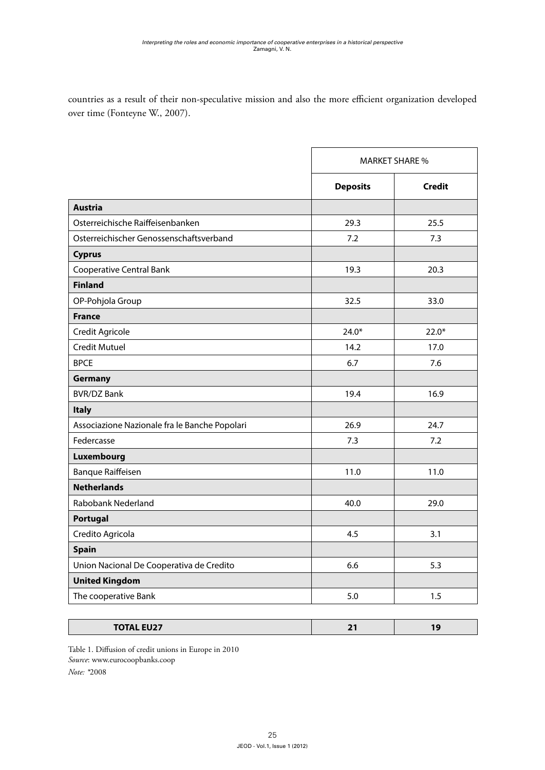countries as a result of their non-speculative mission and also the more efficient organization developed over time (Fonteyne W., 2007).

|                                               | <b>MARKET SHARE %</b> |               |  |
|-----------------------------------------------|-----------------------|---------------|--|
|                                               | <b>Deposits</b>       | <b>Credit</b> |  |
| <b>Austria</b>                                |                       |               |  |
| Osterreichische Raiffeisenbanken              | 29.3                  | 25.5          |  |
| Osterreichischer Genossenschaftsverband       | 7.2                   | 7.3           |  |
| <b>Cyprus</b>                                 |                       |               |  |
| <b>Cooperative Central Bank</b>               | 19.3                  | 20.3          |  |
| <b>Finland</b>                                |                       |               |  |
| OP-Pohjola Group                              | 32.5                  | 33.0          |  |
| <b>France</b>                                 |                       |               |  |
| Credit Agricole                               | $24.0*$               | $22.0*$       |  |
| <b>Credit Mutuel</b>                          | 14.2                  | 17.0          |  |
| <b>BPCE</b>                                   | 6.7                   | 7.6           |  |
| Germany                                       |                       |               |  |
| <b>BVR/DZ Bank</b>                            | 19.4                  | 16.9          |  |
| <b>Italy</b>                                  |                       |               |  |
| Associazione Nazionale fra le Banche Popolari | 26.9                  | 24.7          |  |
| Federcasse                                    | 7.3                   | 7.2           |  |
| Luxembourg                                    |                       |               |  |
| <b>Banque Raiffeisen</b>                      | 11.0                  | 11.0          |  |
| <b>Netherlands</b>                            |                       |               |  |
| Rabobank Nederland                            | 40.0                  | 29.0          |  |
| Portugal                                      |                       |               |  |
| Credito Agricola                              | 4.5                   | 3.1           |  |
| <b>Spain</b>                                  |                       |               |  |
| Union Nacional De Cooperativa de Credito      | 6.6                   | 5.3           |  |
| <b>United Kingdom</b>                         |                       |               |  |
| The cooperative Bank                          | 5.0                   | 1.5           |  |

| <b>TATAL FUAT</b><br>IVIAL EUZI | $ -$ |  |
|---------------------------------|------|--|
|                                 |      |  |

Table 1. Diffusion of credit unions in Europe in 2010 *Source*: [www.eurocoopbanks.coop](http://www.eurocoopbanks.coop) *Note: \**2008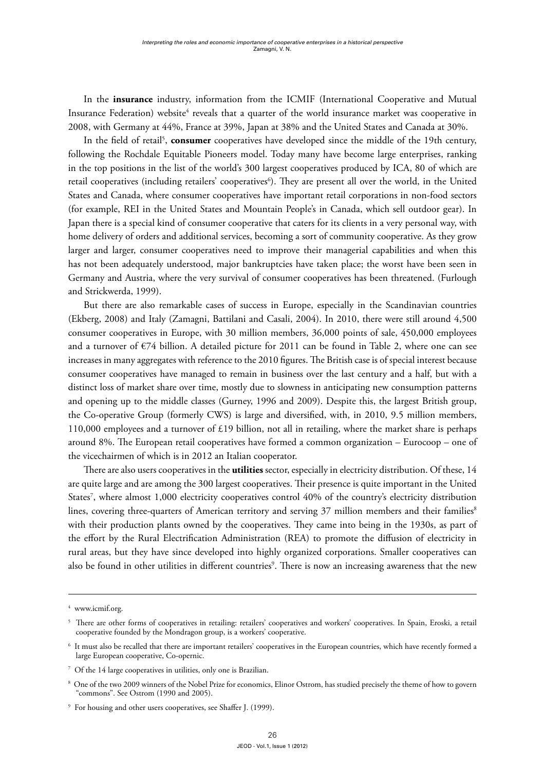In the **insurance** industry, information from the ICMIF (International Cooperative and Mutual Insurance Federation) website $^4$  reveals that a quarter of the world insurance market was cooperative in 2008, with Germany at 44%, France at 39%, Japan at 38% and the United States and Canada at 30%.

In the field of retail<sup>5</sup>, **consumer** cooperatives have developed since the middle of the 19th century, following the Rochdale Equitable Pioneers model. Today many have become large enterprises, ranking in the top positions in the list of the world's 300 largest cooperatives produced by ICA, 80 of which are retail cooperatives (including retailers' cooperatives<sup>6</sup>). They are present all over the world, in the United States and Canada, where consumer cooperatives have important retail corporations in non-food sectors (for example, REI in the United States and Mountain People's in Canada, which sell outdoor gear). In Japan there is a special kind of consumer cooperative that caters for its clients in a very personal way, with home delivery of orders and additional services, becoming a sort of community cooperative. As they grow larger and larger, consumer cooperatives need to improve their managerial capabilities and when this has not been adequately understood, major bankruptcies have taken place; the worst have been seen in Germany and Austria, where the very survival of consumer cooperatives has been threatened. (Furlough and Strickwerda, 1999).

But there are also remarkable cases of success in Europe, especially in the Scandinavian countries (Ekberg, 2008) and Italy (Zamagni, Battilani and Casali, 2004). In 2010, there were still around 4,500 consumer cooperatives in Europe, with 30 million members, 36,000 points of sale, 450,000 employees and a turnover of €74 billion. A detailed picture for 2011 can be found in Table 2, where one can see increases in many aggregates with reference to the 2010 figures. The British case is of special interest because consumer cooperatives have managed to remain in business over the last century and a half, but with a distinct loss of market share over time, mostly due to slowness in anticipating new consumption patterns and opening up to the middle classes (Gurney, 1996 and 2009). Despite this, the largest British group, the Co-operative Group (formerly CWS) is large and diversified, with, in 2010, 9.5 million members, 110,000 employees and a turnover of  $£19$  billion, not all in retailing, where the market share is perhaps around 8%. The European retail cooperatives have formed a common organization – Eurocoop – one of the vicechairmen of which is in 2012 an Italian cooperator.

There are also users cooperatives in the **utilities** sector, especially in electricity distribution. Of these, 14 are quite large and are among the 300 largest cooperatives. Their presence is quite important in the United States<sup>7</sup>, where almost 1,000 electricity cooperatives control 40% of the country's electricity distribution lines, covering three-quarters of American territory and serving 37 million members and their families<sup>8</sup> with their production plants owned by the cooperatives. They came into being in the 1930s, as part of the effort by the Rural Electrification Administration (REA) to promote the diffusion of electricity in rural areas, but they have since developed into highly organized corporations. Smaller cooperatives can also be found in other utilities in different countries<sup>9</sup>. There is now an increasing awareness that the new

<sup>4</sup> [www.icmif.org](http://www.icmif.org).

<sup>5</sup> There are other forms of cooperatives in retailing: retailers' cooperatives and workers' cooperatives. In Spain, Eroski, a retail cooperative founded by the Mondragon group, is a workers' cooperative.

 $^{\rm 6}$  It must also be recalled that there are important retailers' cooperatives in the European countries, which have recently formed a large European cooperative, Co-opernic.

<sup>7</sup> Of the 14 large cooperatives in utilities, only one is Brazilian.

<sup>8</sup> One of the two 2009 winners of the Nobel Prize for economics, Elinor Ostrom, has studied precisely the theme of how to govern "commons". See Ostrom (1990 and 2005).

<sup>9</sup> For housing and other users cooperatives, see Shaffer J. (1999).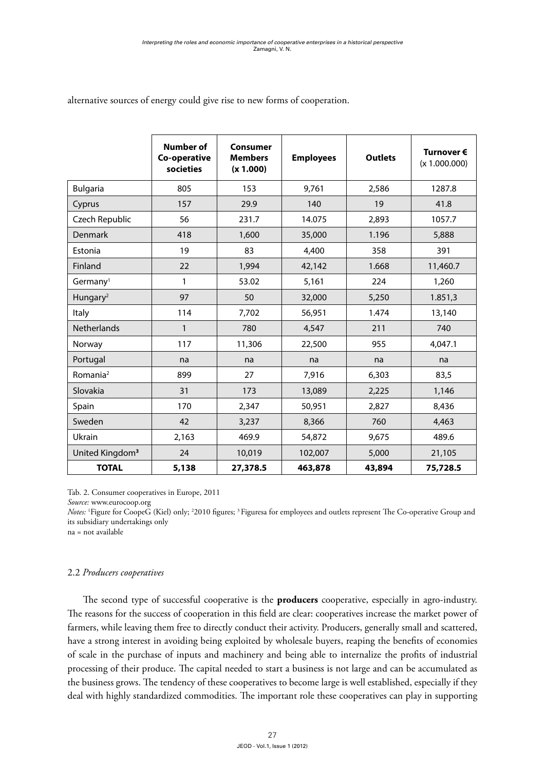|                             | <b>Number of</b><br>Co-operative<br>societies | <b>Consumer</b><br><b>Members</b><br>(x 1.000) | <b>Employees</b> | <b>Outlets</b> | Turnover €<br>(x 1.000.000) |
|-----------------------------|-----------------------------------------------|------------------------------------------------|------------------|----------------|-----------------------------|
| <b>Bulgaria</b>             | 805                                           | 153                                            | 9,761            | 2,586          | 1287.8                      |
| Cyprus                      | 157                                           | 29.9                                           | 140              | 19             | 41.8                        |
| Czech Republic              | 56                                            | 231.7                                          | 14.075           | 2,893          | 1057.7                      |
| Denmark                     | 418                                           | 1,600                                          | 35,000           | 1.196          | 5,888                       |
| Estonia                     | 19                                            | 83                                             | 4,400            | 358            | 391                         |
| Finland                     | 22                                            | 1,994                                          | 42,142           | 1.668          | 11,460.7                    |
| Germany <sup>1</sup>        | 1                                             | 53.02                                          | 5,161            | 224            | 1,260                       |
| Hungary <sup>2</sup>        | 97                                            | 50                                             | 32,000           | 5,250          | 1.851,3                     |
| Italy                       | 114                                           | 7,702                                          | 56,951           | 1.474          | 13,140                      |
| <b>Netherlands</b>          | $\mathbf{1}$                                  | 780                                            | 4,547            | 211            | 740                         |
| Norway                      | 117                                           | 11,306                                         | 22,500           | 955            | 4,047.1                     |
| Portugal                    | na                                            | na                                             | na               | na             | na                          |
| Romania <sup>2</sup>        | 899                                           | 27                                             | 7,916            | 6,303          | 83,5                        |
| Slovakia                    | 31                                            | 173                                            | 13,089           | 2,225          | 1,146                       |
| Spain                       | 170                                           | 2,347                                          | 50,951           | 2,827          | 8,436                       |
| Sweden                      | 42                                            | 3,237                                          | 8,366            | 760            | 4,463                       |
| Ukrain                      | 2,163                                         | 469.9                                          | 54,872           | 9,675          | 489.6                       |
| United Kingdom <sup>3</sup> | 24                                            | 10,019                                         | 102,007          | 5,000          | 21,105                      |
| <b>TOTAL</b>                | 5,138                                         | 27,378.5                                       | 463,878          | 43,894         | 75,728.5                    |

alternative sources of energy could give rise to new forms of cooperation.

Tab. 2. Consumer cooperatives in Europe, 2011

*Source:* [www.eurocoop.org](http://www.eurocoop.org)

*Notes:* 'Figure for CoopeG (Kiel) only; <sup>2</sup>2010 figures; <sup>3</sup> Figuresa for employees and outlets represent The Co-operative Group and its subsidiary undertakings only

na = not available

### 2.2 *Producers cooperatives*

The second type of successful cooperative is the **producers** cooperative, especially in agro-industry. The reasons for the success of cooperation in this field are clear: cooperatives increase the market power of farmers, while leaving them free to directly conduct their activity. Producers, generally small and scattered, have a strong interest in avoiding being exploited by wholesale buyers, reaping the benefits of economies of scale in the purchase of inputs and machinery and being able to internalize the profits of industrial processing of their produce. The capital needed to start a business is not large and can be accumulated as the business grows. The tendency of these cooperatives to become large is well established, especially if they deal with highly standardized commodities. The important role these cooperatives can play in supporting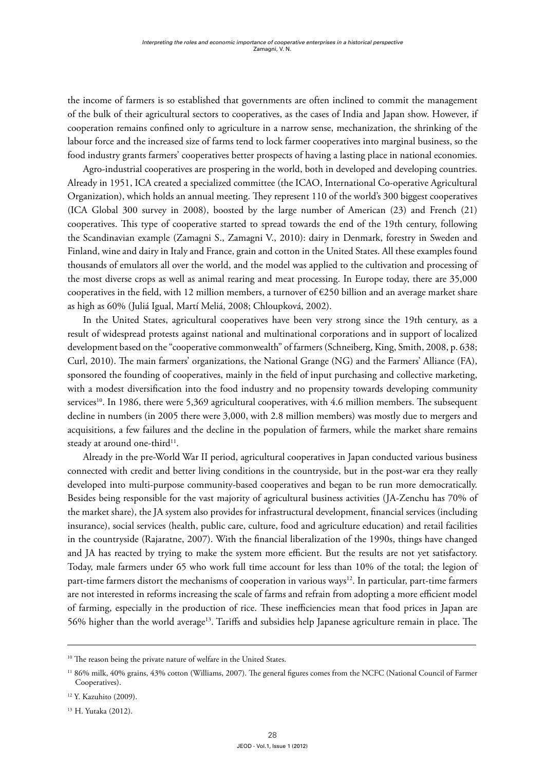the income of farmers is so established that governments are often inclined to commit the management of the bulk of their agricultural sectors to cooperatives, as the cases of India and Japan show. However, if cooperation remains confined only to agriculture in a narrow sense, mechanization, the shrinking of the labour force and the increased size of farms tend to lock farmer cooperatives into marginal business, so the food industry grants farmers' cooperatives better prospects of having a lasting place in national economies.

Agro-industrial cooperatives are prospering in the world, both in developed and developing countries. Already in 1951, ICA created a specialized committee (the ICAO, International Co-operative Agricultural Organization), which holds an annual meeting. They represent 110 of the world's 300 biggest cooperatives (ICA Global 300 survey in 2008), boosted by the large number of American (23) and French (21) cooperatives. This type of cooperative started to spread towards the end of the 19th century, following the Scandinavian example (Zamagni S., Zamagni V., 2010): dairy in Denmark, forestry in Sweden and Finland, wine and dairy in Italy and France, grain and cotton in the United States. All these examples found thousands of emulators all over the world, and the model was applied to the cultivation and processing of the most diverse crops as well as animal rearing and meat processing. In Europe today, there are 35,000 cooperatives in the field, with 12 million members, a turnover of  $\epsilon$ 250 billion and an average market share as high as 60% (Juliá Igual, Martí Meliá, 2008; Chloupková, 2002).

In the United States, agricultural cooperatives have been very strong since the 19th century, as a result of widespread protests against national and multinational corporations and in support of localized development based on the "cooperative commonwealth" of farmers (Schneiberg, King, Smith, 2008, p. 638; Curl, 2010). The main farmers' organizations, the National Grange (NG) and the Farmers' Alliance (FA), sponsored the founding of cooperatives, mainly in the field of input purchasing and collective marketing, with a modest diversification into the food industry and no propensity towards developing community services<sup>10</sup>. In 1986, there were 5,369 agricultural cooperatives, with 4.6 million members. The subsequent decline in numbers (in 2005 there were 3,000, with 2.8 million members) was mostly due to mergers and acquisitions, a few failures and the decline in the population of farmers, while the market share remains steady at around one-third<sup>11</sup>.

Already in the pre-World War II period, agricultural cooperatives in Japan conducted various business connected with credit and better living conditions in the countryside, but in the post-war era they really developed into multi-purpose community-based cooperatives and began to be run more democratically. Besides being responsible for the vast majority of agricultural business activities (JA-Zenchu has 70% of the market share), the JA system also provides for infrastructural development, financial services (including insurance), social services (health, public care, culture, food and agriculture education) and retail facilities in the countryside (Rajaratne, 2007). With the financial liberalization of the 1990s, things have changed and JA has reacted by trying to make the system more efficient. But the results are not yet satisfactory. Today, male farmers under 65 who work full time account for less than 10% of the total; the legion of part-time farmers distort the mechanisms of cooperation in various ways<sup>12</sup>. In particular, part-time farmers are not interested in reforms increasing the scale of farms and refrain from adopting a more efficient model of farming, especially in the production of rice. These inefficiencies mean that food prices in Japan are 56% higher than the world average13. Tariffs and subsidies help Japanese agriculture remain in place. The

<sup>&</sup>lt;sup>10</sup> The reason being the private nature of welfare in the United States.

<sup>&</sup>lt;sup>11</sup> 86% milk, 40% grains, 43% cotton (Williams, 2007). The general figures comes from the NCFC (National Council of Farmer Cooperatives).

<sup>12</sup> Y. Kazuhito (2009).

<sup>13</sup> H. Yutaka (2012).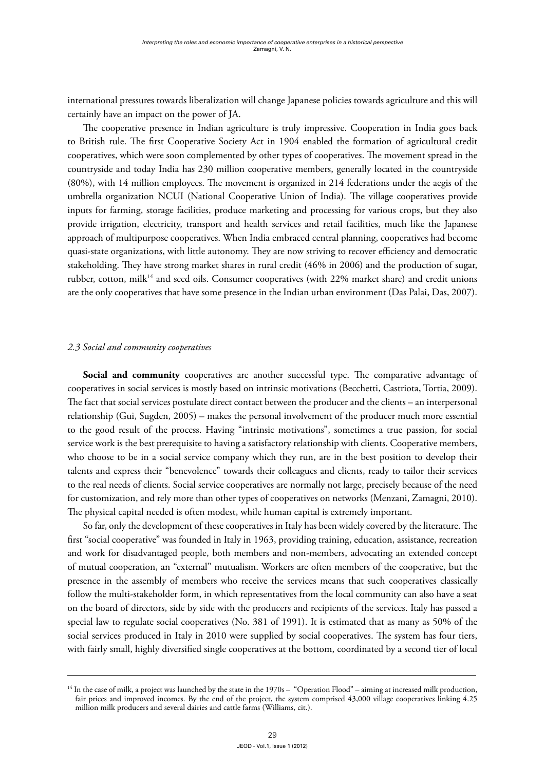international pressures towards liberalization will change Japanese policies towards agriculture and this will certainly have an impact on the power of JA.

The cooperative presence in Indian agriculture is truly impressive. Cooperation in India goes back to British rule. The first Cooperative Society Act in 1904 enabled the formation of agricultural credit cooperatives, which were soon complemented by other types of cooperatives. The movement spread in the countryside and today India has 230 million cooperative members, generally located in the countryside (80%), with 14 million employees. The movement is organized in 214 federations under the aegis of the umbrella organization NCUI (National Cooperative Union of India). The village cooperatives provide inputs for farming, storage facilities, produce marketing and processing for various crops, but they also provide irrigation, electricity, transport and health services and retail facilities, much like the Japanese approach of multipurpose cooperatives. When India embraced central planning, cooperatives had become quasi-state organizations, with little autonomy. They are now striving to recover efficiency and democratic stakeholding. They have strong market shares in rural credit (46% in 2006) and the production of sugar, rubber, cotton, milk<sup>14</sup> and seed oils. Consumer cooperatives (with 22% market share) and credit unions are the only cooperatives that have some presence in the Indian urban environment (Das Palai, Das, 2007).

### *2.3 Social and community cooperatives*

Social and community cooperatives are another successful type. The comparative advantage of cooperatives in social services is mostly based on intrinsic motivations (Becchetti, Castriota, Tortia, 2009). The fact that social services postulate direct contact between the producer and the clients – an interpersonal relationship (Gui, Sugden, 2005) – makes the personal involvement of the producer much more essential to the good result of the process. Having "intrinsic motivations", sometimes a true passion, for social service work is the best prerequisite to having a satisfactory relationship with clients. Cooperative members, who choose to be in a social service company which they run, are in the best position to develop their talents and express their "benevolence" towards their colleagues and clients, ready to tailor their services to the real needs of clients. Social service cooperatives are normally not large, precisely because of the need for customization, and rely more than other types of cooperatives on networks (Menzani, Zamagni, 2010). The physical capital needed is often modest, while human capital is extremely important.

So far, only the development of these cooperatives in Italy has been widely covered by the literature. The first "social cooperative" was founded in Italy in 1963, providing training, education, assistance, recreation and work for disadvantaged people, both members and non-members, advocating an extended concept of mutual cooperation, an "external" mutualism. Workers are often members of the cooperative, but the presence in the assembly of members who receive the services means that such cooperatives classically follow the multi-stakeholder form, in which representatives from the local community can also have a seat on the board of directors, side by side with the producers and recipients of the services. Italy has passed a special law to regulate social cooperatives (No. 381 of 1991). It is estimated that as many as 50% of the social services produced in Italy in 2010 were supplied by social cooperatives. The system has four tiers, with fairly small, highly diversified single cooperatives at the bottom, coordinated by a second tier of local

<sup>&</sup>lt;sup>14</sup> In the case of milk, a project was launched by the state in the 1970s – "Operation Flood" – aiming at increased milk production, fair prices and improved incomes. By the end of the project, the system comprised 43,000 village cooperatives linking 4.25 million milk producers and several dairies and cattle farms (Williams, cit.).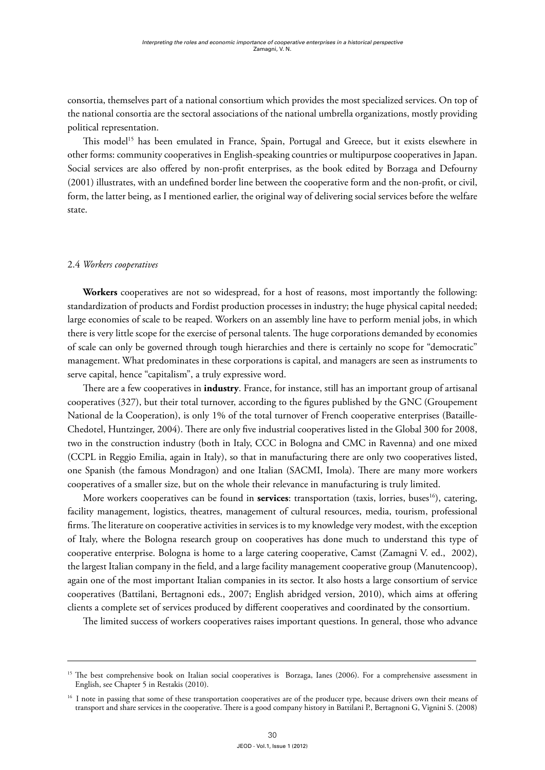consortia, themselves part of a national consortium which provides the most specialized services. On top of the national consortia are the sectoral associations of the national umbrella organizations, mostly providing political representation.

This model<sup>15</sup> has been emulated in France, Spain, Portugal and Greece, but it exists elsewhere in other forms: community cooperatives in English-speaking countries or multipurpose cooperatives in Japan. Social services are also offered by non-profit enterprises, as the book edited by Borzaga and Defourny (2001) illustrates, with an undefined border line between the cooperative form and the non-profit, or civil, form, the latter being, as I mentioned earlier, the original way of delivering social services before the welfare state.

### 2.4 *Workers cooperatives*

**Workers** cooperatives are not so widespread, for a host of reasons, most importantly the following: standardization of products and Fordist production processes in industry; the huge physical capital needed; large economies of scale to be reaped. Workers on an assembly line have to perform menial jobs, in which there is very little scope for the exercise of personal talents. The huge corporations demanded by economies of scale can only be governed through tough hierarchies and there is certainly no scope for "democratic" management. What predominates in these corporations is capital, and managers are seen as instruments to serve capital, hence "capitalism", a truly expressive word.

There are a few cooperatives in **industry**. France, for instance, still has an important group of artisanal cooperatives (327), but their total turnover, according to the figures published by the GNC (Groupement National de la Cooperation), is only 1% of the total turnover of French cooperative enterprises (Bataille-Chedotel, Huntzinger, 2004). There are only five industrial cooperatives listed in the Global 300 for 2008, two in the construction industry (both in Italy, CCC in Bologna and CMC in Ravenna) and one mixed (CCPL in Reggio Emilia, again in Italy), so that in manufacturing there are only two cooperatives listed, one Spanish (the famous Mondragon) and one Italian (SACMI, Imola). There are many more workers cooperatives of a smaller size, but on the whole their relevance in manufacturing is truly limited.

More workers cooperatives can be found in **services**: transportation (taxis, lorries, buses<sup>16</sup>), catering, facility management, logistics, theatres, management of cultural resources, media, tourism, professional firms. The literature on cooperative activities in services is to my knowledge very modest, with the exception of Italy, where the Bologna research group on cooperatives has done much to understand this type of cooperative enterprise. Bologna is home to a large catering cooperative, Camst (Zamagni V. ed., 2002), the largest Italian company in the field, and a large facility management cooperative group (Manutencoop), again one of the most important Italian companies in its sector. It also hosts a large consortium of service cooperatives (Battilani, Bertagnoni eds., 2007; English abridged version, 2010), which aims at offering clients a complete set of services produced by different cooperatives and coordinated by the consortium.

The limited success of workers cooperatives raises important questions. In general, those who advance

<sup>&</sup>lt;sup>15</sup> The best comprehensive book on Italian social cooperatives is Borzaga, Ianes (2006). For a comprehensive assessment in English, see Chapter 5 in Restakis (2010).

<sup>&</sup>lt;sup>16</sup> I note in passing that some of these transportation cooperatives are of the producer type, because drivers own their means of transport and share services in the cooperative. There is a good company history in Battilani P., Bertagnoni G, Vignini S. (2008)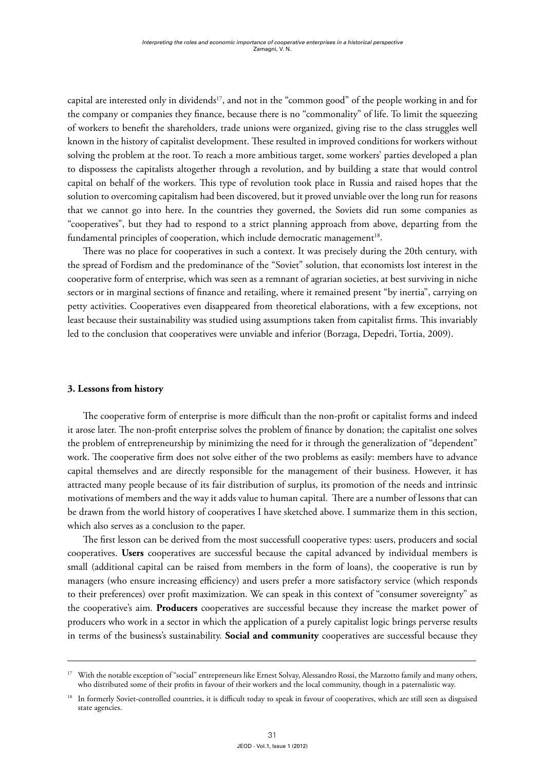capital are interested only in dividends<sup>17</sup>, and not in the "common good" of the people working in and for the company or companies they finance, because there is no "commonality" of life. To limit the squeezing of workers to benefit the shareholders, trade unions were organized, giving rise to the class struggles well known in the history of capitalist development. These resulted in improved conditions for workers without solving the problem at the root. To reach a more ambitious target, some workers' parties developed a plan to dispossess the capitalists altogether through a revolution, and by building a state that would control capital on behalf of the workers. This type of revolution took place in Russia and raised hopes that the solution to overcoming capitalism had been discovered, but it proved unviable over the long run for reasons that we cannot go into here. In the countries they governed, the Soviets did run some companies as "cooperatives", but they had to respond to a strict planning approach from above, departing from the fundamental principles of cooperation, which include democratic management<sup>18</sup>.

There was no place for cooperatives in such a context. It was precisely during the 20th century, with the spread of Fordism and the predominance of the "Soviet" solution, that economists lost interest in the cooperative form of enterprise, which was seen as a remnant of agrarian societies, at best surviving in niche sectors or in marginal sections of finance and retailing, where it remained present "by inertia", carrying on petty activities. Cooperatives even disappeared from theoretical elaborations, with a few exceptions, not least because their sustainability was studied using assumptions taken from capitalist firms. This invariably led to the conclusion that cooperatives were unviable and inferior (Borzaga, Depedri, Tortia, 2009).

### **3. Lessons from history**

The cooperative form of enterprise is more difficult than the non-profit or capitalist forms and indeed it arose later. The non-profit enterprise solves the problem of finance by donation; the capitalist one solves the problem of entrepreneurship by minimizing the need for it through the generalization of "dependent" work. The cooperative firm does not solve either of the two problems as easily: members have to advance capital themselves and are directly responsible for the management of their business. However, it has attracted many people because of its fair distribution of surplus, its promotion of the needs and intrinsic motivations of members and the way it adds value to human capital. There are a number of lessons that can be drawn from the world history of cooperatives I have sketched above. I summarize them in this section, which also serves as a conclusion to the paper.

The first lesson can be derived from the most successfull cooperative types: users, producers and social cooperatives. **Users** cooperatives are successful because the capital advanced by individual members is small (additional capital can be raised from members in the form of loans), the cooperative is run by managers (who ensure increasing efficiency) and users prefer a more satisfactory service (which responds to their preferences) over profit maximization. We can speak in this context of "consumer sovereignty" as the cooperative's aim. **Producers** cooperatives are successful because they increase the market power of producers who work in a sector in which the application of a purely capitalist logic brings perverse results in terms of the business's sustainability. **Social and community** cooperatives are successful because they

<sup>&</sup>lt;sup>17</sup> With the notable exception of "social" entrepreneurs like Ernest Solvay, Alessandro Rossi, the Marzotto family and many others, who distributed some of their profits in favour of their workers and the local community, though in a paternalistic way.

<sup>&</sup>lt;sup>18</sup> In formerly Soviet-controlled countries, it is difficult today to speak in favour of cooperatives, which are still seen as disguised state agencies.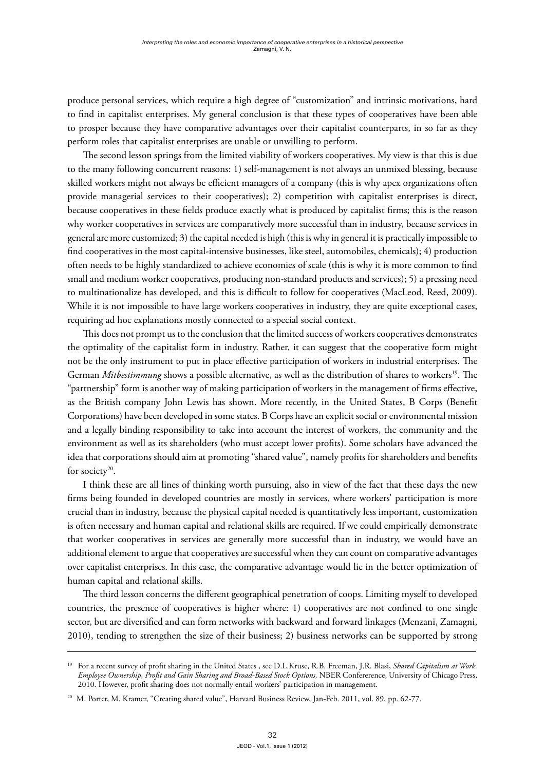produce personal services, which require a high degree of "customization" and intrinsic motivations, hard to find in capitalist enterprises. My general conclusion is that these types of cooperatives have been able to prosper because they have comparative advantages over their capitalist counterparts, in so far as they perform roles that capitalist enterprises are unable or unwilling to perform.

The second lesson springs from the limited viability of workers cooperatives. My view is that this is due to the many following concurrent reasons: 1) self-management is not always an unmixed blessing, because skilled workers might not always be efficient managers of a company (this is why apex organizations often provide managerial services to their cooperatives); 2) competition with capitalist enterprises is direct, because cooperatives in these fields produce exactly what is produced by capitalist firms; this is the reason why worker cooperatives in services are comparatively more successful than in industry, because services in general are more customized; 3) the capital needed is high (this is why in general it is practically impossible to find cooperatives in the most capital-intensive businesses, like steel, automobiles, chemicals); 4) production often needs to be highly standardized to achieve economies of scale (this is why it is more common to find small and medium worker cooperatives, producing non-standard products and services); 5) a pressing need to multinationalize has developed, and this is difficult to follow for cooperatives (MacLeod, Reed, 2009). While it is not impossible to have large workers cooperatives in industry, they are quite exceptional cases, requiring ad hoc explanations mostly connected to a special social context.

This does not prompt us to the conclusion that the limited success of workers cooperatives demonstrates the optimality of the capitalist form in industry. Rather, it can suggest that the cooperative form might not be the only instrument to put in place effective participation of workers in industrial enterprises. The German *Mitbestimmung* shows a possible alternative, as well as the distribution of shares to workers<sup>19</sup>. The "partnership" form is another way of making participation of workers in the management of firms effective, as the British company John Lewis has shown. More recently, in the United States, B Corps (Benefit Corporations) have been developed in some states. B Corps have an explicit social or environmental mission and a legally binding responsibility to take into account the interest of workers, the community and the environment as well as its shareholders (who must accept lower profits). Some scholars have advanced the idea that corporations should aim at promoting "shared value", namely profits for shareholders and benefits for society<sup>20</sup>.

I think these are all lines of thinking worth pursuing, also in view of the fact that these days the new firms being founded in developed countries are mostly in services, where workers' participation is more crucial than in industry, because the physical capital needed is quantitatively less important, customization is often necessary and human capital and relational skills are required. If we could empirically demonstrate that worker cooperatives in services are generally more successful than in industry, we would have an additional element to argue that cooperatives are successful when they can count on comparative advantages over capitalist enterprises. In this case, the comparative advantage would lie in the better optimization of human capital and relational skills.

The third lesson concerns the different geographical penetration of coops. Limiting myself to developed countries, the presence of cooperatives is higher where: 1) cooperatives are not confined to one single sector, but are diversified and can form networks with backward and forward linkages (Menzani, Zamagni, 2010), tending to strengthen the size of their business; 2) business networks can be supported by strong

<sup>&</sup>lt;sup>19</sup> For a recent survey of profit sharing in the United States , see D.L.Kruse, R.B. Freeman, J.R. Blasi, *Shared Capitalism at Work*. *Employee Ownership, Profit and Gain Sharing and Broad-Based Stock Options,* NBER Confererence, University of Chicago Press, 2010. However, profit sharing does not normally entail workers' participation in management.

<sup>20</sup> M. Porter, M. Kramer, "Creating shared value", Harvard Business Review, Jan-Feb. 2011, vol. 89, pp. 62-77.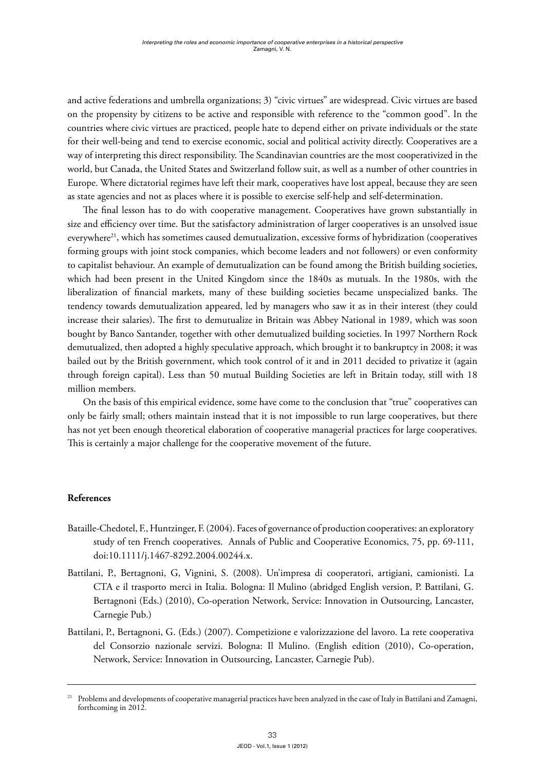and active federations and umbrella organizations; 3) "civic virtues" are widespread. Civic virtues are based on the propensity by citizens to be active and responsible with reference to the "common good". In the countries where civic virtues are practiced, people hate to depend either on private individuals or the state for their well-being and tend to exercise economic, social and political activity directly. Cooperatives are a way of interpreting this direct responsibility. The Scandinavian countries are the most cooperativized in the world, but Canada, the United States and Switzerland follow suit, as well as a number of other countries in Europe. Where dictatorial regimes have left their mark, cooperatives have lost appeal, because they are seen as state agencies and not as places where it is possible to exercise self-help and self-determination.

The final lesson has to do with cooperative management. Cooperatives have grown substantially in size and efficiency over time. But the satisfactory administration of larger cooperatives is an unsolved issue everywhere<sup>21</sup>, which has sometimes caused demutualization, excessive forms of hybridization (cooperatives forming groups with joint stock companies, which become leaders and not followers) or even conformity to capitalist behaviour. An example of demutualization can be found among the British building societies, which had been present in the United Kingdom since the 1840s as mutuals. In the 1980s, with the liberalization of financial markets, many of these building societies became unspecialized banks. The tendency towards demutualization appeared, led by managers who saw it as in their interest (they could increase their salaries). The first to demutualize in Britain was Abbey National in 1989, which was soon bought by Banco Santander, together with other demutualized building societies. In 1997 Northern Rock demutualized, then adopted a highly speculative approach, which brought it to bankruptcy in 2008; it was bailed out by the British government, which took control of it and in 2011 decided to privatize it (again through foreign capital). Less than 50 mutual Building Societies are left in Britain today, still with 18 million members.

On the basis of this empirical evidence, some have come to the conclusion that "true" cooperatives can only be fairly small; others maintain instead that it is not impossible to run large cooperatives, but there has not yet been enough theoretical elaboration of cooperative managerial practices for large cooperatives. This is certainly a major challenge for the cooperative movement of the future.

# **References**

- Bataille-Chedotel, F., Huntzinger, F. (2004). Faces of governance of production cooperatives: an exploratory study of ten French cooperatives. Annals of Public and Cooperative Economics, 75, pp. 69-111, doi:10.1111/j.1467-8292.2004.00244.x.
- Battilani, P., Bertagnoni, G, Vignini, S. (2008). Un'impresa di cooperatori, artigiani, camionisti. La CTA e il trasporto merci in Italia. Bologna: Il Mulino (abridged English version, P. Battilani, G. Bertagnoni (Eds.) (2010), Co-operation Network, Service: Innovation in Outsourcing, Lancaster, Carnegie Pub.)
- Battilani, P., Bertagnoni, G. (Eds.) (2007). Competizione e valorizzazione del lavoro. La rete cooperativa del Consorzio nazionale servizi. Bologna: Il Mulino. (English edition (2010), Co-operation, Network, Service: Innovation in Outsourcing, Lancaster, Carnegie Pub).

<sup>21</sup> Problems and developments of cooperative managerial practices have been analyzed in the case of Italy in Battilani and Zamagni, forthcoming in 2012.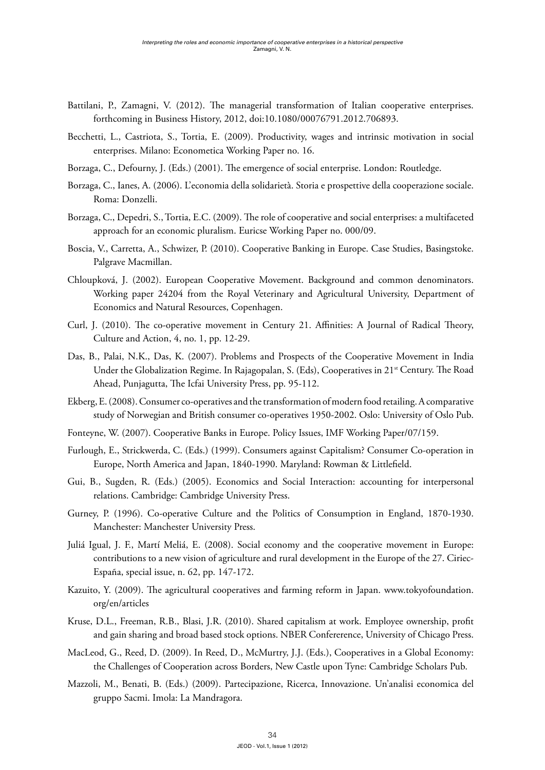- Battilani, P., Zamagni, V. (2012). The managerial transformation of Italian cooperative enterprises. forthcoming in Business History, 2012, doi:10.1080/00076791.2012.706893.
- Becchetti, L., Castriota, S., Tortia, E. (2009). Productivity, wages and intrinsic motivation in social enterprises. Milano: Econometica Working Paper no. 16.
- Borzaga, C., Defourny, J. (Eds.) (2001). The emergence of social enterprise. London: Routledge.
- Borzaga, C., Ianes, A. (2006). L'economia della solidarietà. Storia e prospettive della cooperazione sociale. Roma: Donzelli.
- Borzaga, C., Depedri, S., Tortia, E.C. (2009). The role of cooperative and social enterprises: a multifaceted approach for an economic pluralism. Euricse Working Paper no. 000/09.
- Boscia, V., Carretta, A., Schwizer, P. (2010). Cooperative Banking in Europe. Case Studies, Basingstoke. Palgrave Macmillan.
- Chloupková, J. (2002). European Cooperative Movement. Background and common denominators. Working paper 24204 from the Royal Veterinary and Agricultural University, Department of Economics and Natural Resources, Copenhagen.
- Curl, J. (2010). The co-operative movement in Century 21. Affinities: A Journal of Radical Theory, Culture and Action, 4, no. 1, pp. 12-29.
- Das, B., Palai, N.K., Das, K. (2007). Problems and Prospects of the Cooperative Movement in India Under the Globalization Regime. In Rajagopalan, S. (Eds), Cooperatives in 21<sup>st</sup> Century. The Road Ahead, Punjagutta, The Icfai University Press, pp. 95-112.
- Ekberg, E. (2008). Consumer co-operatives and the transformation of modern food retailing. A comparative study of Norwegian and British consumer co-operatives 1950-2002. Oslo: University of Oslo Pub.
- Fonteyne, W. (2007). Cooperative Banks in Europe. Policy Issues, IMF Working Paper/07/159.
- Furlough, E., Strickwerda, C. (Eds.) (1999). Consumers against Capitalism? Consumer Co-operation in Europe, North America and Japan, 1840-1990. Maryland: Rowman & Littlefield.
- Gui, B., Sugden, R. (Eds.) (2005). Economics and Social Interaction: accounting for interpersonal relations. Cambridge: Cambridge University Press.
- Gurney, P. (1996). Co-operative Culture and the Politics of Consumption in England, 1870-1930. Manchester: Manchester University Press.
- Juliá Igual, J. F., Martí Meliá, E. (2008). Social economy and the cooperative movement in Europe: contributions to a new vision of agriculture and rural development in the Europe of the 27. Ciriec-España, special issue, n. 62, pp. 147-172.
- Kazuito, Y. (2009). The agricultural cooperatives and farming reform in Japan. [www.tokyofoundation.](http://www.tokyofoundation.org/en/articles) [org/en/articles](http://www.tokyofoundation.org/en/articles)
- Kruse, D.L., Freeman, R.B., Blasi, J.R. (2010). Shared capitalism at work. Employee ownership, profit and gain sharing and broad based stock options. NBER Confererence, University of Chicago Press.
- MacLeod, G., Reed, D. (2009). In Reed, D., McMurtry, J.J. (Eds.), Cooperatives in a Global Economy: the Challenges of Cooperation across Borders, New Castle upon Tyne: Cambridge Scholars Pub.
- Mazzoli, M., Benati, B. (Eds.) (2009). Partecipazione, Ricerca, Innovazione. Un'analisi economica del gruppo Sacmi. Imola: La Mandragora.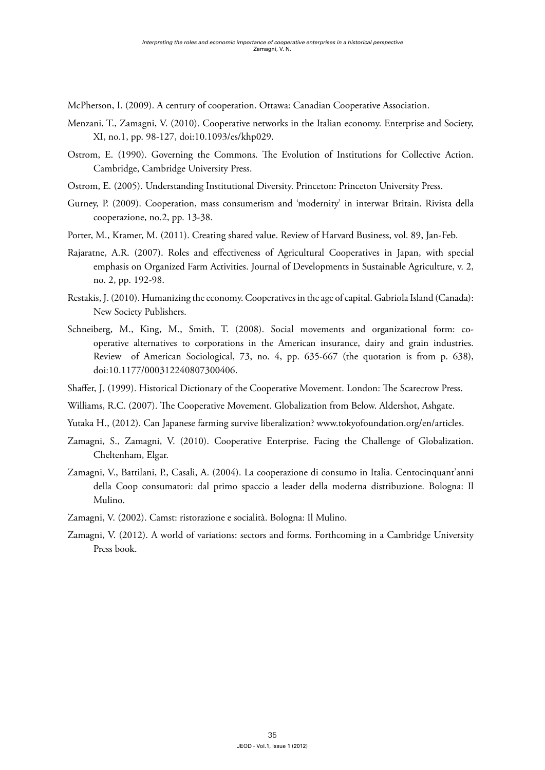McPherson, I. (2009). A century of cooperation. Ottawa: Canadian Cooperative Association.

- Menzani, T., Zamagni, V. (2010). Cooperative networks in the Italian economy. Enterprise and Society, XI, no.1, pp. 98-127, doi:10.1093/es/khp029.
- Ostrom, E. (1990). Governing the Commons. The Evolution of Institutions for Collective Action. Cambridge, Cambridge University Press.
- Ostrom, E. (2005). Understanding Institutional Diversity. Princeton: Princeton University Press.
- Gurney, P. (2009). Cooperation, mass consumerism and 'modernity' in interwar Britain. Rivista della cooperazione, no.2, pp. 13-38.
- Porter, M., Kramer, M. (2011). Creating shared value. Review of Harvard Business, vol. 89, Jan-Feb.
- Rajaratne, A.R. (2007). Roles and effectiveness of Agricultural Cooperatives in Japan, with special emphasis on Organized Farm Activities. Journal of Developments in Sustainable Agriculture, v. 2, no. 2, pp. 192-98.
- Restakis, J. (2010). Humanizing the economy. Cooperatives in the age of capital. Gabriola Island (Canada): New Society Publishers.
- Schneiberg, M., King, M., Smith, T. (2008). Social movements and organizational form: cooperative alternatives to corporations in the American insurance, dairy and grain industries. Review of American Sociological, 73, no. 4, pp. 635-667 (the quotation is from p. 638), doi:10.1177/000312240807300406.
- Shaffer, J. (1999). Historical Dictionary of the Cooperative Movement. London: The Scarecrow Press.
- Williams, R.C. (2007). The Cooperative Movement. Globalization from Below. Aldershot, Ashgate.
- Yutaka H., (2012). Can Japanese farming survive liberalization? [www.tokyofoundation.org/en/articles.](http://www.tokyofoundation.org/en/articles)
- Zamagni, S., Zamagni, V. (2010). Cooperative Enterprise. Facing the Challenge of Globalization. Cheltenham, Elgar.
- Zamagni, V., Battilani, P., Casali, A. (2004). La cooperazione di consumo in Italia. Centocinquant'anni della Coop consumatori: dal primo spaccio a leader della moderna distribuzione. Bologna: Il Mulino.
- Zamagni, V. (2002). Camst: ristorazione e socialità. Bologna: Il Mulino.
- Zamagni, V. (2012). A world of variations: sectors and forms. Forthcoming in a Cambridge University Press book.